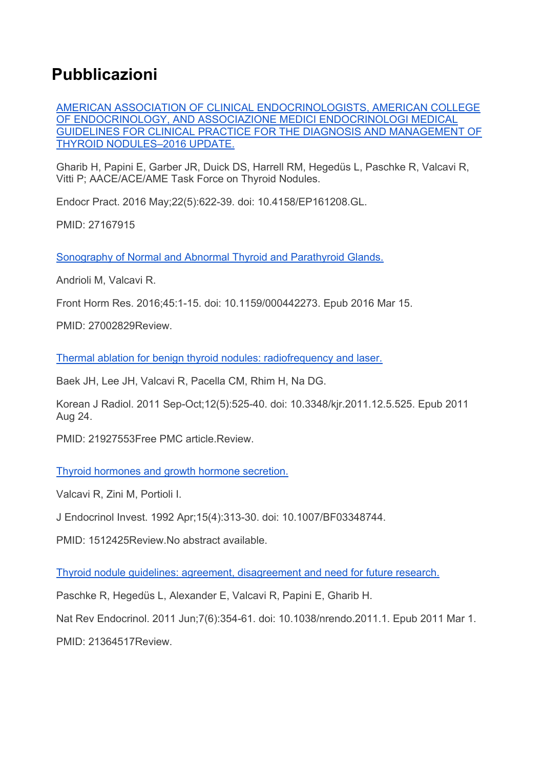## **Pubblicazioni**

AMERICAN ASSOCIATION OF CLINICAL ENDOCRINOLOGISTS, AMERICAN COLLEGE OF ENDOCRINOLOGY, AND ASSOCIAZIONE MEDICI ENDOCRINOLOGI MEDICAL GUIDELINES FOR CLINICAL PRACTICE FOR THE DIAGNOSIS AND MANAGEMENT OF THYROID NODULES–2016 UPDATE.

Gharib H, Papini E, Garber JR, Duick DS, Harrell RM, Hegedüs L, Paschke R, Valcavi R, Vitti P; AACE/ACE/AME Task Force on Thyroid Nodules.

Endocr Pract. 2016 May;22(5):622-39. doi: 10.4158/EP161208.GL.

PMID: 27167915

Sonography of Normal and Abnormal Thyroid and Parathyroid Glands.

Andrioli M, Valcavi R.

Front Horm Res. 2016;45:1-15. doi: 10.1159/000442273. Epub 2016 Mar 15.

PMID: 27002829Review.

Thermal ablation for benign thyroid nodules: radiofrequency and laser.

Baek JH, Lee JH, Valcavi R, Pacella CM, Rhim H, Na DG.

Korean J Radiol. 2011 Sep-Oct;12(5):525-40. doi: 10.3348/kjr.2011.12.5.525. Epub 2011 Aug 24.

PMID: 21927553Free PMC article.Review.

Thyroid hormones and growth hormone secretion.

Valcavi R, Zini M, Portioli I.

J Endocrinol Invest. 1992 Apr;15(4):313-30. doi: 10.1007/BF03348744.

PMID: 1512425Review.No abstract available.

Thyroid nodule guidelines: agreement, disagreement and need for future research.

Paschke R, Hegedüs L, Alexander E, Valcavi R, Papini E, Gharib H.

Nat Rev Endocrinol. 2011 Jun;7(6):354-61. doi: 10.1038/nrendo.2011.1. Epub 2011 Mar 1.

PMID: 21364517Review.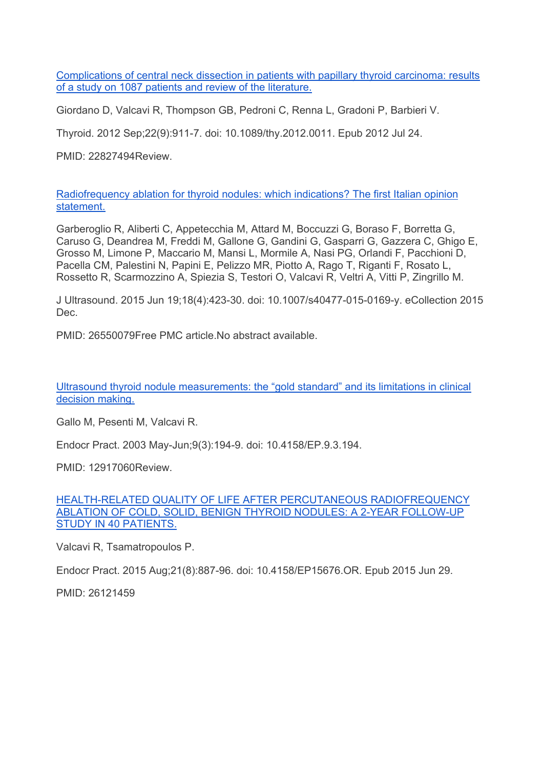Complications of central neck dissection in patients with papillary thyroid carcinoma: results of a study on 1087 patients and review of the literature.

Giordano D, Valcavi R, Thompson GB, Pedroni C, Renna L, Gradoni P, Barbieri V.

Thyroid. 2012 Sep;22(9):911-7. doi: 10.1089/thy.2012.0011. Epub 2012 Jul 24.

PMID: 22827494Review.

Radiofrequency ablation for thyroid nodules: which indications? The first Italian opinion statement.

Garberoglio R, Aliberti C, Appetecchia M, Attard M, Boccuzzi G, Boraso F, Borretta G, Caruso G, Deandrea M, Freddi M, Gallone G, Gandini G, Gasparri G, Gazzera C, Ghigo E, Grosso M, Limone P, Maccario M, Mansi L, Mormile A, Nasi PG, Orlandi F, Pacchioni D, Pacella CM, Palestini N, Papini E, Pelizzo MR, Piotto A, Rago T, Riganti F, Rosato L, Rossetto R, Scarmozzino A, Spiezia S, Testori O, Valcavi R, Veltri A, Vitti P, Zingrillo M.

J Ultrasound. 2015 Jun 19;18(4):423-30. doi: 10.1007/s40477-015-0169-y. eCollection 2015 Dec.

PMID: 26550079Free PMC article.No abstract available.

Ultrasound thyroid nodule measurements: the "gold standard" and its limitations in clinical decision making.

Gallo M, Pesenti M, Valcavi R.

Endocr Pract. 2003 May-Jun;9(3):194-9. doi: 10.4158/EP.9.3.194.

PMID: 12917060Review.

HEALTH-RELATED QUALITY OF LIFE AFTER PERCUTANEOUS RADIOFREQUENCY ABLATION OF COLD, SOLID, BENIGN THYROID NODULES: A 2-YEAR FOLLOW-UP STUDY IN 40 PATIENTS.

Valcavi R, Tsamatropoulos P.

Endocr Pract. 2015 Aug;21(8):887-96. doi: 10.4158/EP15676.OR. Epub 2015 Jun 29.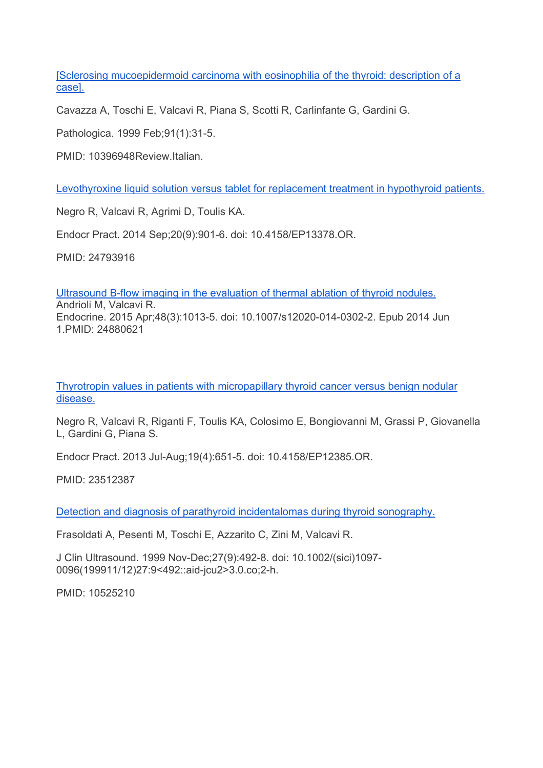[Sclerosing mucoepidermoid carcinoma with eosinophilia of the thyroid: description of a case].

Cavazza A, Toschi E, Valcavi R, Piana S, Scotti R, Carlinfante G, Gardini G.

Pathologica. 1999 Feb;91(1):31-5.

PMID: 10396948Review.Italian.

Levothyroxine liquid solution versus tablet for replacement treatment in hypothyroid patients.

Negro R, Valcavi R, Agrimi D, Toulis KA.

Endocr Pract. 2014 Sep;20(9):901-6. doi: 10.4158/EP13378.OR.

PMID: 24793916

Ultrasound B-flow imaging in the evaluation of thermal ablation of thyroid nodules.

Andrioli M, Valcavi R. Endocrine. 2015 Apr;48(3):1013-5. doi: 10.1007/s12020-014-0302-2. Epub 2014 Jun 1.PMID: 24880621

Thyrotropin values in patients with micropapillary thyroid cancer versus benign nodular disease.

Negro R, Valcavi R, Riganti F, Toulis KA, Colosimo E, Bongiovanni M, Grassi P, Giovanella L, Gardini G, Piana S.

Endocr Pract. 2013 Jul-Aug;19(4):651-5. doi: 10.4158/EP12385.OR.

PMID: 23512387

Detection and diagnosis of parathyroid incidentalomas during thyroid sonography.

Frasoldati A, Pesenti M, Toschi E, Azzarito C, Zini M, Valcavi R.

J Clin Ultrasound. 1999 Nov-Dec;27(9):492-8. doi: 10.1002/(sici)1097- 0096(199911/12)27:9<492::aid-jcu2>3.0.co;2-h.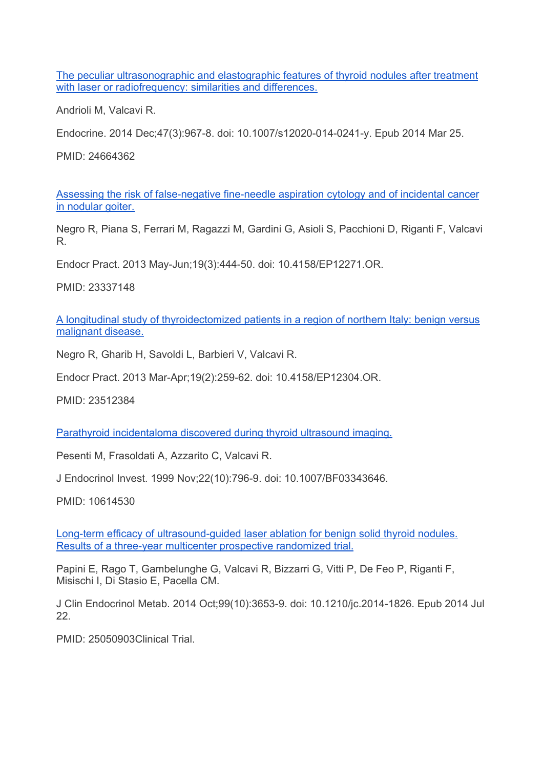The peculiar ultrasonographic and elastographic features of thyroid nodules after treatment with laser or radiofrequency: similarities and differences.

Andrioli M, Valcavi R.

Endocrine. 2014 Dec;47(3):967-8. doi: 10.1007/s12020-014-0241-y. Epub 2014 Mar 25.

PMID: 24664362

Assessing the risk of false-negative fine-needle aspiration cytology and of incidental cancer in nodular goiter.

Negro R, Piana S, Ferrari M, Ragazzi M, Gardini G, Asioli S, Pacchioni D, Riganti F, Valcavi R.

Endocr Pract. 2013 May-Jun;19(3):444-50. doi: 10.4158/EP12271.OR.

PMID: 23337148

A longitudinal study of thyroidectomized patients in a region of northern Italy: benign versus malignant disease.

Negro R, Gharib H, Savoldi L, Barbieri V, Valcavi R.

Endocr Pract. 2013 Mar-Apr;19(2):259-62. doi: 10.4158/EP12304.OR.

PMID: 23512384

Parathyroid incidentaloma discovered during thyroid ultrasound imaging.

Pesenti M, Frasoldati A, Azzarito C, Valcavi R.

J Endocrinol Invest. 1999 Nov;22(10):796-9. doi: 10.1007/BF03343646.

PMID: 10614530

Long-term efficacy of ultrasound-guided laser ablation for benign solid thyroid nodules. Results of a three-year multicenter prospective randomized trial.

Papini E, Rago T, Gambelunghe G, Valcavi R, Bizzarri G, Vitti P, De Feo P, Riganti F, Misischi I, Di Stasio E, Pacella CM.

J Clin Endocrinol Metab. 2014 Oct;99(10):3653-9. doi: 10.1210/jc.2014-1826. Epub 2014 Jul 22.

PMID: 25050903Clinical Trial.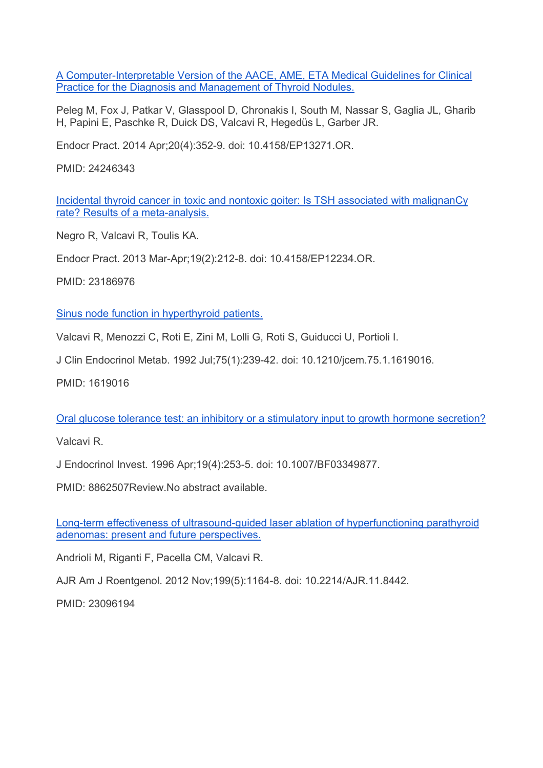A Computer-Interpretable Version of the AACE, AME, ETA Medical Guidelines for Clinical Practice for the Diagnosis and Management of Thyroid Nodules.

Peleg M, Fox J, Patkar V, Glasspool D, Chronakis I, South M, Nassar S, Gaglia JL, Gharib H, Papini E, Paschke R, Duick DS, Valcavi R, Hegedüs L, Garber JR.

Endocr Pract. 2014 Apr;20(4):352-9. doi: 10.4158/EP13271.OR.

PMID: 24246343

Incidental thyroid cancer in toxic and nontoxic goiter: Is TSH associated with malignanCy rate? Results of a meta-analysis.

Negro R, Valcavi R, Toulis KA.

Endocr Pract. 2013 Mar-Apr;19(2):212-8. doi: 10.4158/EP12234.OR.

PMID: 23186976

Sinus node function in hyperthyroid patients.

Valcavi R, Menozzi C, Roti E, Zini M, Lolli G, Roti S, Guiducci U, Portioli I.

J Clin Endocrinol Metab. 1992 Jul;75(1):239-42. doi: 10.1210/jcem.75.1.1619016.

PMID: 1619016

Oral glucose tolerance test: an inhibitory or a stimulatory input to growth hormone secretion?

Valcavi R.

J Endocrinol Invest. 1996 Apr;19(4):253-5. doi: 10.1007/BF03349877.

PMID: 8862507Review.No abstract available.

Long-term effectiveness of ultrasound-guided laser ablation of hyperfunctioning parathyroid adenomas: present and future perspectives.

Andrioli M, Riganti F, Pacella CM, Valcavi R.

AJR Am J Roentgenol. 2012 Nov;199(5):1164-8. doi: 10.2214/AJR.11.8442.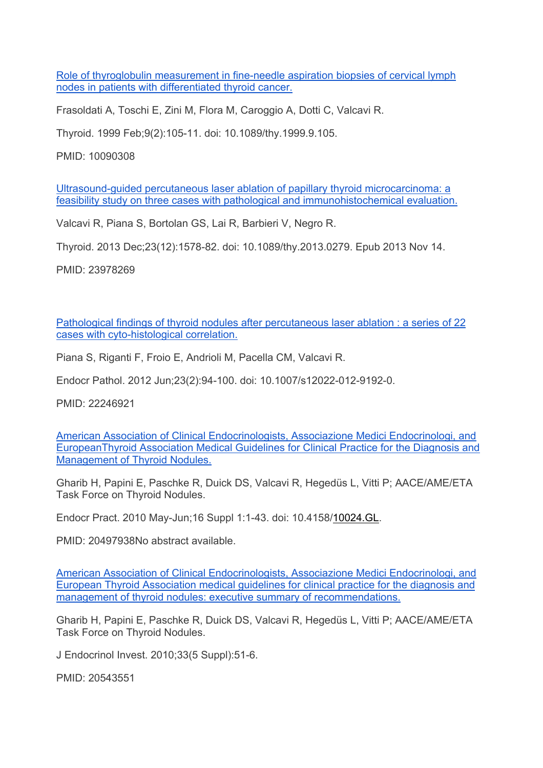Role of thyroglobulin measurement in fine-needle aspiration biopsies of cervical lymph nodes in patients with differentiated thyroid cancer.

Frasoldati A, Toschi E, Zini M, Flora M, Caroggio A, Dotti C, Valcavi R.

Thyroid. 1999 Feb;9(2):105-11. doi: 10.1089/thy.1999.9.105.

PMID: 10090308

Ultrasound-guided percutaneous laser ablation of papillary thyroid microcarcinoma: a feasibility study on three cases with pathological and immunohistochemical evaluation.

Valcavi R, Piana S, Bortolan GS, Lai R, Barbieri V, Negro R.

Thyroid. 2013 Dec;23(12):1578-82. doi: 10.1089/thy.2013.0279. Epub 2013 Nov 14.

PMID: 23978269

Pathological findings of thyroid nodules after percutaneous laser ablation : a series of 22 cases with cyto-histological correlation.

Piana S, Riganti F, Froio E, Andrioli M, Pacella CM, Valcavi R.

Endocr Pathol. 2012 Jun;23(2):94-100. doi: 10.1007/s12022-012-9192-0.

PMID: 22246921

American Association of Clinical Endocrinologists, Associazione Medici Endocrinologi, and EuropeanThyroid Association Medical Guidelines for Clinical Practice for the Diagnosis and Management of Thyroid Nodules.

Gharib H, Papini E, Paschke R, Duick DS, Valcavi R, Hegedüs L, Vitti P; AACE/AME/ETA Task Force on Thyroid Nodules.

Endocr Pract. 2010 May-Jun;16 Suppl 1:1-43. doi: 10.4158/10024.GL.

PMID: 20497938No abstract available.

American Association of Clinical Endocrinologists, Associazione Medici Endocrinologi, and European Thyroid Association medical guidelines for clinical practice for the diagnosis and management of thyroid nodules: executive summary of recommendations.

Gharib H, Papini E, Paschke R, Duick DS, Valcavi R, Hegedüs L, Vitti P; AACE/AME/ETA Task Force on Thyroid Nodules.

J Endocrinol Invest. 2010;33(5 Suppl):51-6.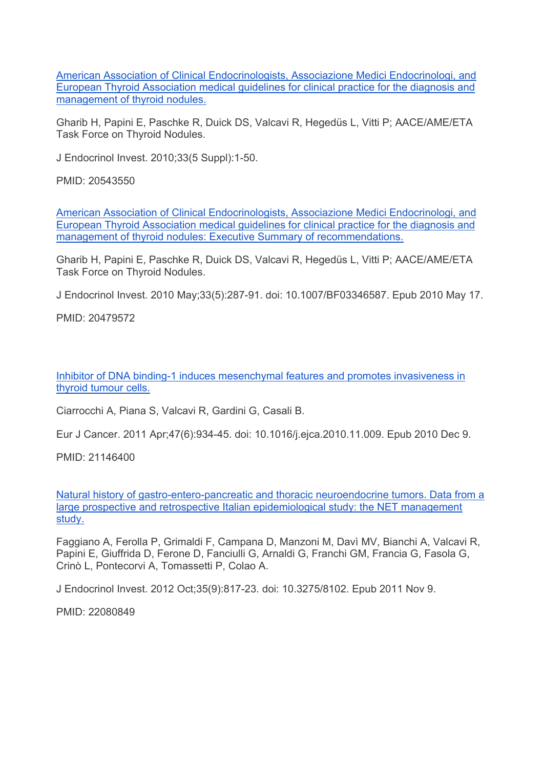American Association of Clinical Endocrinologists, Associazione Medici Endocrinologi, and European Thyroid Association medical guidelines for clinical practice for the diagnosis and management of thyroid nodules.

Gharib H, Papini E, Paschke R, Duick DS, Valcavi R, Hegedüs L, Vitti P; AACE/AME/ETA Task Force on Thyroid Nodules.

J Endocrinol Invest. 2010;33(5 Suppl):1-50.

PMID: 20543550

American Association of Clinical Endocrinologists, Associazione Medici Endocrinologi, and European Thyroid Association medical guidelines for clinical practice for the diagnosis and management of thyroid nodules: Executive Summary of recommendations.

Gharib H, Papini E, Paschke R, Duick DS, Valcavi R, Hegedüs L, Vitti P; AACE/AME/ETA Task Force on Thyroid Nodules.

J Endocrinol Invest. 2010 May;33(5):287-91. doi: 10.1007/BF03346587. Epub 2010 May 17.

PMID: 20479572

Inhibitor of DNA binding-1 induces mesenchymal features and promotes invasiveness in thyroid tumour cells.

Ciarrocchi A, Piana S, Valcavi R, Gardini G, Casali B.

Eur J Cancer. 2011 Apr;47(6):934-45. doi: 10.1016/j.ejca.2010.11.009. Epub 2010 Dec 9.

PMID: 21146400

Natural history of gastro-entero-pancreatic and thoracic neuroendocrine tumors. Data from a large prospective and retrospective Italian epidemiological study: the NET management study.

Faggiano A, Ferolla P, Grimaldi F, Campana D, Manzoni M, Davì MV, Bianchi A, Valcavi R, Papini E, Giuffrida D, Ferone D, Fanciulli G, Arnaldi G, Franchi GM, Francia G, Fasola G, Crinò L, Pontecorvi A, Tomassetti P, Colao A.

J Endocrinol Invest. 2012 Oct;35(9):817-23. doi: 10.3275/8102. Epub 2011 Nov 9.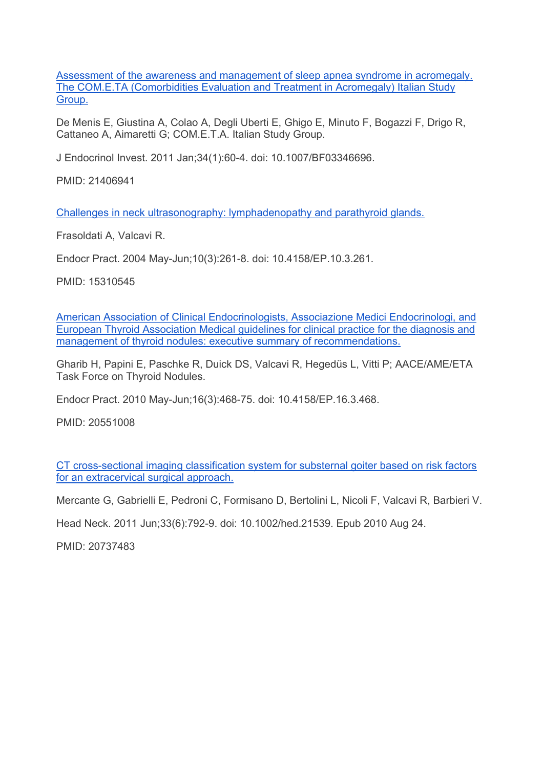Assessment of the awareness and management of sleep apnea syndrome in acromegaly. The COM.E.TA (Comorbidities Evaluation and Treatment in Acromegaly) Italian Study Group.

De Menis E, Giustina A, Colao A, Degli Uberti E, Ghigo E, Minuto F, Bogazzi F, Drigo R, Cattaneo A, Aimaretti G; COM.E.T.A. Italian Study Group.

J Endocrinol Invest. 2011 Jan;34(1):60-4. doi: 10.1007/BF03346696.

PMID: 21406941

Challenges in neck ultrasonography: lymphadenopathy and parathyroid glands.

Frasoldati A, Valcavi R.

Endocr Pract. 2004 May-Jun;10(3):261-8. doi: 10.4158/EP.10.3.261.

PMID: 15310545

American Association of Clinical Endocrinologists, Associazione Medici Endocrinologi, and European Thyroid Association Medical guidelines for clinical practice for the diagnosis and management of thyroid nodules: executive summary of recommendations.

Gharib H, Papini E, Paschke R, Duick DS, Valcavi R, Hegedüs L, Vitti P; AACE/AME/ETA Task Force on Thyroid Nodules.

Endocr Pract. 2010 May-Jun;16(3):468-75. doi: 10.4158/EP.16.3.468.

PMID: 20551008

CT cross-sectional imaging classification system for substernal goiter based on risk factors for an extracervical surgical approach.

Mercante G, Gabrielli E, Pedroni C, Formisano D, Bertolini L, Nicoli F, Valcavi R, Barbieri V.

Head Neck. 2011 Jun;33(6):792-9. doi: 10.1002/hed.21539. Epub 2010 Aug 24.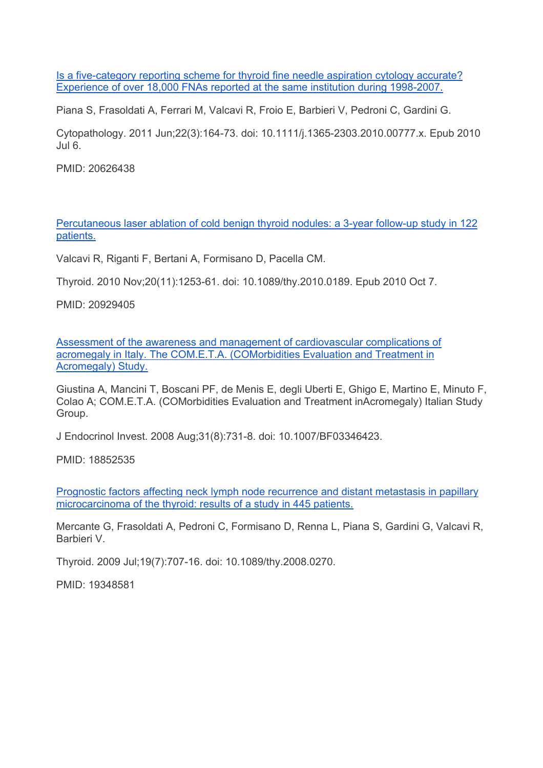Is a five-category reporting scheme for thyroid fine needle aspiration cytology accurate? Experience of over 18,000 FNAs reported at the same institution during 1998-2007.

Piana S, Frasoldati A, Ferrari M, Valcavi R, Froio E, Barbieri V, Pedroni C, Gardini G.

Cytopathology. 2011 Jun;22(3):164-73. doi: 10.1111/j.1365-2303.2010.00777.x. Epub 2010 Jul 6.

PMID: 20626438

Percutaneous laser ablation of cold benign thyroid nodules: a 3-year follow-up study in 122 patients.

Valcavi R, Riganti F, Bertani A, Formisano D, Pacella CM.

Thyroid. 2010 Nov;20(11):1253-61. doi: 10.1089/thy.2010.0189. Epub 2010 Oct 7.

PMID: 20929405

Assessment of the awareness and management of cardiovascular complications of acromegaly in Italy. The COM.E.T.A. (COMorbidities Evaluation and Treatment in Acromegaly) Study.

Giustina A, Mancini T, Boscani PF, de Menis E, degli Uberti E, Ghigo E, Martino E, Minuto F, Colao A; COM.E.T.A. (COMorbidities Evaluation and Treatment inAcromegaly) Italian Study Group.

J Endocrinol Invest. 2008 Aug;31(8):731-8. doi: 10.1007/BF03346423.

PMID: 18852535

Prognostic factors affecting neck lymph node recurrence and distant metastasis in papillary microcarcinoma of the thyroid: results of a study in 445 patients.

Mercante G, Frasoldati A, Pedroni C, Formisano D, Renna L, Piana S, Gardini G, Valcavi R, Barbieri V.

Thyroid. 2009 Jul;19(7):707-16. doi: 10.1089/thy.2008.0270.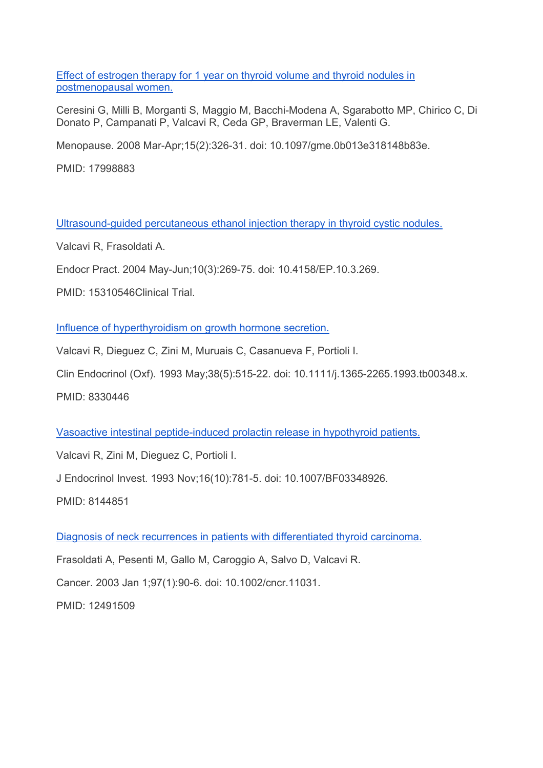Effect of estrogen therapy for 1 year on thyroid volume and thyroid nodules in postmenopausal women.

Ceresini G, Milli B, Morganti S, Maggio M, Bacchi-Modena A, Sgarabotto MP, Chirico C, Di Donato P, Campanati P, Valcavi R, Ceda GP, Braverman LE, Valenti G.

Menopause. 2008 Mar-Apr;15(2):326-31. doi: 10.1097/gme.0b013e318148b83e.

PMID: 17998883

Ultrasound-guided percutaneous ethanol injection therapy in thyroid cystic nodules.

Valcavi R, Frasoldati A.

Endocr Pract. 2004 May-Jun;10(3):269-75. doi: 10.4158/EP.10.3.269.

PMID: 15310546Clinical Trial.

Influence of hyperthyroidism on growth hormone secretion.

Valcavi R, Dieguez C, Zini M, Muruais C, Casanueva F, Portioli I.

Clin Endocrinol (Oxf). 1993 May;38(5):515-22. doi: 10.1111/j.1365-2265.1993.tb00348.x.

PMID: 8330446

Vasoactive intestinal peptide-induced prolactin release in hypothyroid patients.

Valcavi R, Zini M, Dieguez C, Portioli I.

J Endocrinol Invest. 1993 Nov;16(10):781-5. doi: 10.1007/BF03348926.

PMID: 8144851

Diagnosis of neck recurrences in patients with differentiated thyroid carcinoma.

Frasoldati A, Pesenti M, Gallo M, Caroggio A, Salvo D, Valcavi R.

Cancer. 2003 Jan 1;97(1):90-6. doi: 10.1002/cncr.11031.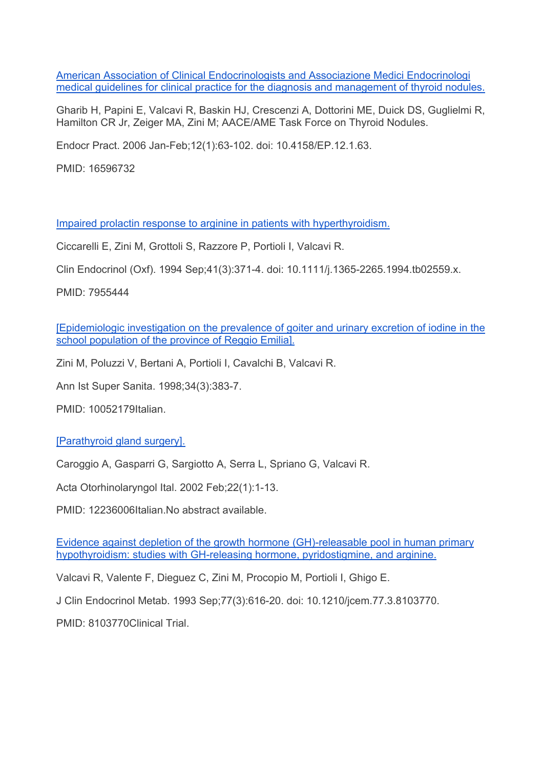American Association of Clinical Endocrinologists and Associazione Medici Endocrinologi medical guidelines for clinical practice for the diagnosis and management of thyroid nodules.

Gharib H, Papini E, Valcavi R, Baskin HJ, Crescenzi A, Dottorini ME, Duick DS, Guglielmi R, Hamilton CR Jr, Zeiger MA, Zini M; AACE/AME Task Force on Thyroid Nodules.

Endocr Pract. 2006 Jan-Feb;12(1):63-102. doi: 10.4158/EP.12.1.63.

PMID: 16596732

Impaired prolactin response to arginine in patients with hyperthyroidism.

Ciccarelli E, Zini M, Grottoli S, Razzore P, Portioli I, Valcavi R.

Clin Endocrinol (Oxf). 1994 Sep;41(3):371-4. doi: 10.1111/j.1365-2265.1994.tb02559.x.

PMID: 7955444

[Epidemiologic investigation on the prevalence of goiter and urinary excretion of iodine in the school population of the province of Reggio Emilia].

Zini M, Poluzzi V, Bertani A, Portioli I, Cavalchi B, Valcavi R.

Ann Ist Super Sanita. 1998;34(3):383-7.

PMID: 10052179Italian.

[Parathyroid gland surgery].

Caroggio A, Gasparri G, Sargiotto A, Serra L, Spriano G, Valcavi R.

Acta Otorhinolaryngol Ital. 2002 Feb;22(1):1-13.

PMID: 12236006Italian.No abstract available.

Evidence against depletion of the growth hormone (GH)-releasable pool in human primary hypothyroidism: studies with GH-releasing hormone, pyridostigmine, and arginine.

Valcavi R, Valente F, Dieguez C, Zini M, Procopio M, Portioli I, Ghigo E.

J Clin Endocrinol Metab. 1993 Sep;77(3):616-20. doi: 10.1210/jcem.77.3.8103770.

PMID: 8103770Clinical Trial.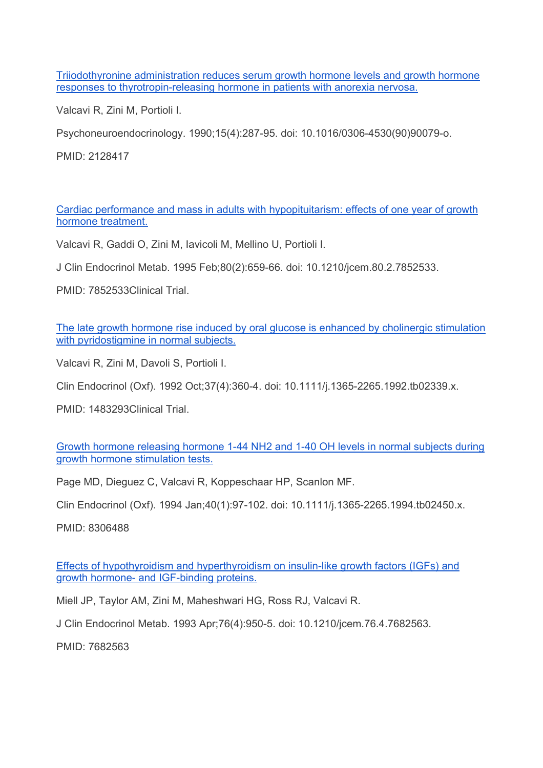Triiodothyronine administration reduces serum growth hormone levels and growth hormone responses to thyrotropin-releasing hormone in patients with anorexia nervosa.

Valcavi R, Zini M, Portioli I.

Psychoneuroendocrinology. 1990;15(4):287-95. doi: 10.1016/0306-4530(90)90079-o.

PMID: 2128417

Cardiac performance and mass in adults with hypopituitarism: effects of one year of growth hormone treatment.

Valcavi R, Gaddi O, Zini M, Iavicoli M, Mellino U, Portioli I.

J Clin Endocrinol Metab. 1995 Feb;80(2):659-66. doi: 10.1210/jcem.80.2.7852533.

PMID: 7852533Clinical Trial.

The late growth hormone rise induced by oral glucose is enhanced by cholinergic stimulation with pyridostigmine in normal subjects.

Valcavi R, Zini M, Davoli S, Portioli I.

Clin Endocrinol (Oxf). 1992 Oct;37(4):360-4. doi: 10.1111/j.1365-2265.1992.tb02339.x.

PMID: 1483293Clinical Trial.

Growth hormone releasing hormone 1-44 NH2 and 1-40 OH levels in normal subjects during growth hormone stimulation tests.

Page MD, Dieguez C, Valcavi R, Koppeschaar HP, Scanlon MF.

Clin Endocrinol (Oxf). 1994 Jan;40(1):97-102. doi: 10.1111/j.1365-2265.1994.tb02450.x.

PMID: 8306488

Effects of hypothyroidism and hyperthyroidism on insulin-like growth factors (IGFs) and growth hormone- and IGF-binding proteins.

Miell JP, Taylor AM, Zini M, Maheshwari HG, Ross RJ, Valcavi R.

J Clin Endocrinol Metab. 1993 Apr;76(4):950-5. doi: 10.1210/jcem.76.4.7682563.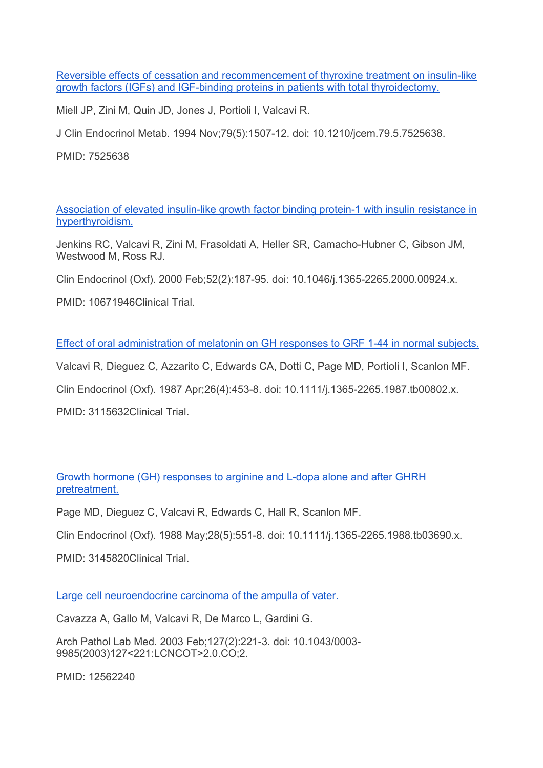Reversible effects of cessation and recommencement of thyroxine treatment on insulin-like growth factors (IGFs) and IGF-binding proteins in patients with total thyroidectomy.

Miell JP, Zini M, Quin JD, Jones J, Portioli I, Valcavi R.

J Clin Endocrinol Metab. 1994 Nov;79(5):1507-12. doi: 10.1210/jcem.79.5.7525638.

PMID: 7525638

Association of elevated insulin-like growth factor binding protein-1 with insulin resistance in hyperthyroidism.

Jenkins RC, Valcavi R, Zini M, Frasoldati A, Heller SR, Camacho-Hubner C, Gibson JM, Westwood M, Ross RJ.

Clin Endocrinol (Oxf). 2000 Feb;52(2):187-95. doi: 10.1046/j.1365-2265.2000.00924.x.

PMID: 10671946Clinical Trial.

Effect of oral administration of melatonin on GH responses to GRF 1-44 in normal subjects.

Valcavi R, Dieguez C, Azzarito C, Edwards CA, Dotti C, Page MD, Portioli I, Scanlon MF.

Clin Endocrinol (Oxf). 1987 Apr;26(4):453-8. doi: 10.1111/j.1365-2265.1987.tb00802.x.

PMID: 3115632Clinical Trial.

Growth hormone (GH) responses to arginine and L-dopa alone and after GHRH pretreatment.

Page MD, Dieguez C, Valcavi R, Edwards C, Hall R, Scanlon MF.

Clin Endocrinol (Oxf). 1988 May;28(5):551-8. doi: 10.1111/j.1365-2265.1988.tb03690.x.

PMID: 3145820Clinical Trial.

Large cell neuroendocrine carcinoma of the ampulla of vater.

Cavazza A, Gallo M, Valcavi R, De Marco L, Gardini G.

Arch Pathol Lab Med. 2003 Feb;127(2):221-3. doi: 10.1043/0003- 9985(2003)127<221:LCNCOT>2.0.CO;2.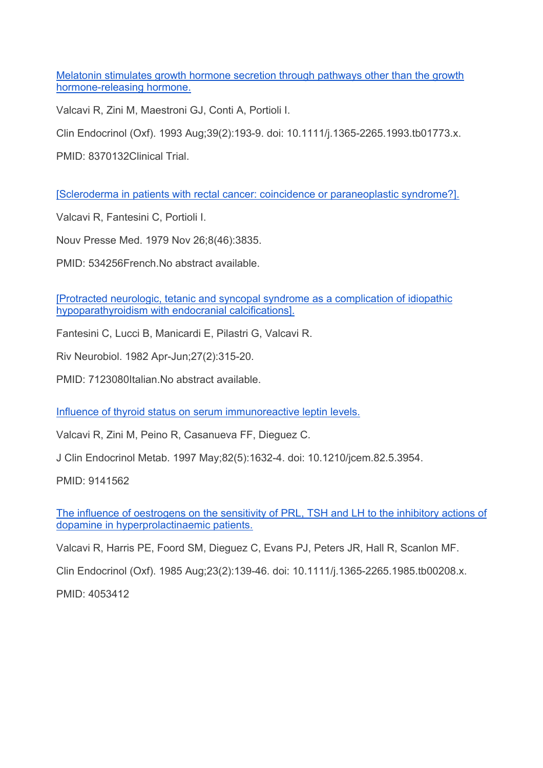Melatonin stimulates growth hormone secretion through pathways other than the growth hormone-releasing hormone.

Valcavi R, Zini M, Maestroni GJ, Conti A, Portioli I.

Clin Endocrinol (Oxf). 1993 Aug;39(2):193-9. doi: 10.1111/j.1365-2265.1993.tb01773.x.

PMID: 8370132Clinical Trial.

[Scleroderma in patients with rectal cancer: coincidence or paraneoplastic syndrome?].

Valcavi R, Fantesini C, Portioli I.

Nouv Presse Med. 1979 Nov 26;8(46):3835.

PMID: 534256French.No abstract available.

[Protracted neurologic, tetanic and syncopal syndrome as a complication of idiopathic hypoparathyroidism with endocranial calcifications].

Fantesini C, Lucci B, Manicardi E, Pilastri G, Valcavi R.

Riv Neurobiol. 1982 Apr-Jun;27(2):315-20.

PMID: 7123080Italian.No abstract available.

Influence of thyroid status on serum immunoreactive leptin levels.

Valcavi R, Zini M, Peino R, Casanueva FF, Dieguez C.

J Clin Endocrinol Metab. 1997 May;82(5):1632-4. doi: 10.1210/jcem.82.5.3954.

PMID: 9141562

The influence of oestrogens on the sensitivity of PRL, TSH and LH to the inhibitory actions of dopamine in hyperprolactinaemic patients.

Valcavi R, Harris PE, Foord SM, Dieguez C, Evans PJ, Peters JR, Hall R, Scanlon MF.

Clin Endocrinol (Oxf). 1985 Aug;23(2):139-46. doi: 10.1111/j.1365-2265.1985.tb00208.x.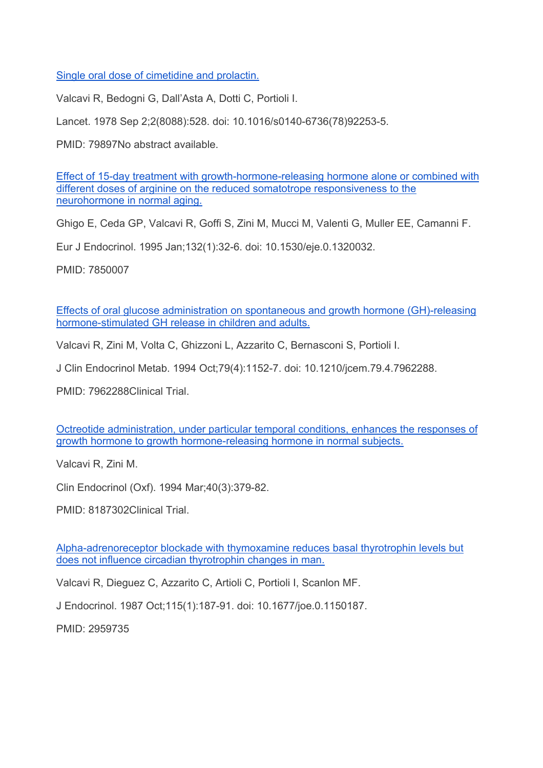Single oral dose of cimetidine and prolactin.

Valcavi R, Bedogni G, Dall'Asta A, Dotti C, Portioli I.

Lancet. 1978 Sep 2;2(8088):528. doi: 10.1016/s0140-6736(78)92253-5.

PMID: 79897No abstract available.

Effect of 15-day treatment with growth-hormone-releasing hormone alone or combined with different doses of arginine on the reduced somatotrope responsiveness to the neurohormone in normal aging.

Ghigo E, Ceda GP, Valcavi R, Goffi S, Zini M, Mucci M, Valenti G, Muller EE, Camanni F.

Eur J Endocrinol. 1995 Jan;132(1):32-6. doi: 10.1530/eje.0.1320032.

PMID: 7850007

Effects of oral glucose administration on spontaneous and growth hormone (GH)-releasing hormone-stimulated GH release in children and adults.

Valcavi R, Zini M, Volta C, Ghizzoni L, Azzarito C, Bernasconi S, Portioli I.

J Clin Endocrinol Metab. 1994 Oct;79(4):1152-7. doi: 10.1210/jcem.79.4.7962288.

PMID: 7962288Clinical Trial.

Octreotide administration, under particular temporal conditions, enhances the responses of growth hormone to growth hormone-releasing hormone in normal subjects.

Valcavi R, Zini M.

Clin Endocrinol (Oxf). 1994 Mar;40(3):379-82.

PMID: 8187302Clinical Trial.

Alpha-adrenoreceptor blockade with thymoxamine reduces basal thyrotrophin levels but does not influence circadian thyrotrophin changes in man.

Valcavi R, Dieguez C, Azzarito C, Artioli C, Portioli I, Scanlon MF.

J Endocrinol. 1987 Oct;115(1):187-91. doi: 10.1677/joe.0.1150187.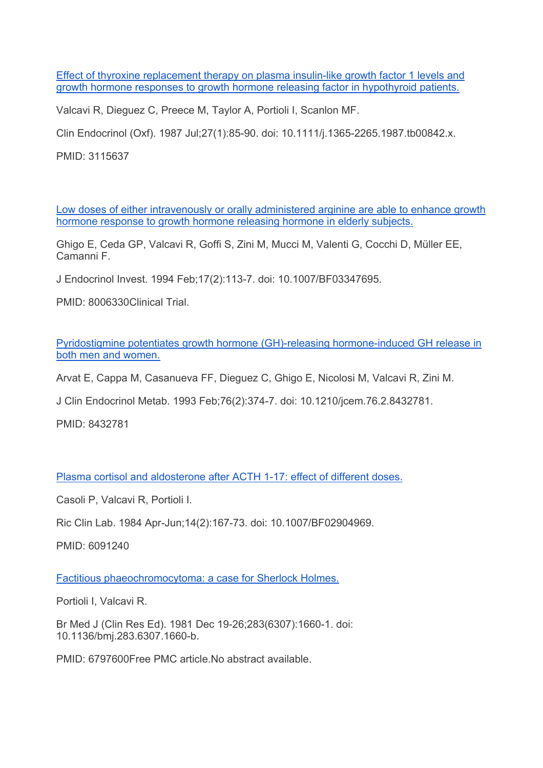Effect of thyroxine replacement therapy on plasma insulin-like growth factor 1 levels and growth hormone responses to growth hormone releasing factor in hypothyroid patients.

Valcavi R, Dieguez C, Preece M, Taylor A, Portioli I, Scanlon MF.

Clin Endocrinol (Oxf). 1987 Jul;27(1):85-90. doi: 10.1111/j.1365-2265.1987.tb00842.x.

PMID: 3115637

Low doses of either intravenously or orally administered arginine are able to enhance growth hormone response to growth hormone releasing hormone in elderly subjects.

Ghigo E, Ceda GP, Valcavi R, Goffi S, Zini M, Mucci M, Valenti G, Cocchi D, Müller EE, Camanni F.

J Endocrinol Invest. 1994 Feb;17(2):113-7. doi: 10.1007/BF03347695.

PMID: 8006330Clinical Trial.

Pyridostigmine potentiates growth hormone (GH)-releasing hormone-induced GH release in both men and women.

Arvat E, Cappa M, Casanueva FF, Dieguez C, Ghigo E, Nicolosi M, Valcavi R, Zini M.

J Clin Endocrinol Metab. 1993 Feb;76(2):374-7. doi: 10.1210/jcem.76.2.8432781.

PMID: 8432781

Plasma cortisol and aldosterone after ACTH 1-17: effect of different doses.

Casoli P, Valcavi R, Portioli I.

Ric Clin Lab. 1984 Apr-Jun;14(2):167-73. doi: 10.1007/BF02904969.

PMID: 6091240

Factitious phaeochromocytoma: a case for Sherlock Holmes.

Portioli I, Valcavi R.

Br Med J (Clin Res Ed). 1981 Dec 19-26;283(6307):1660-1. doi: 10.1136/bmj.283.6307.1660-b.

PMID: 6797600Free PMC article.No abstract available.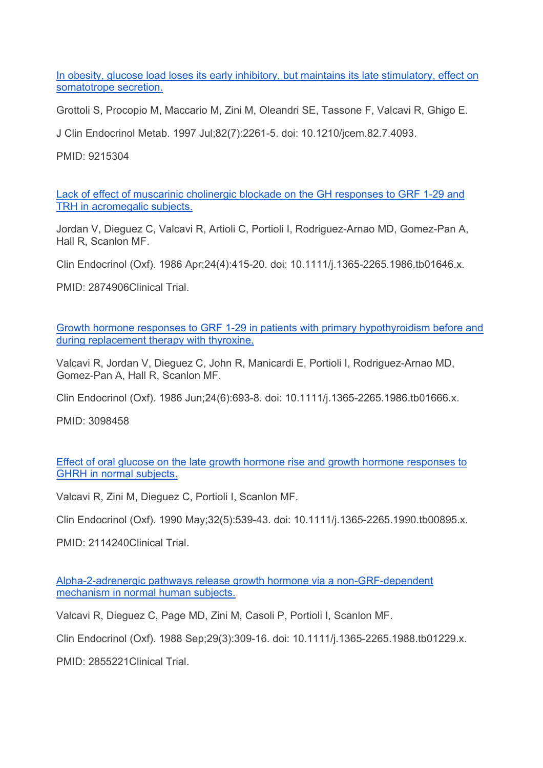In obesity, glucose load loses its early inhibitory, but maintains its late stimulatory, effect on somatotrope secretion.

Grottoli S, Procopio M, Maccario M, Zini M, Oleandri SE, Tassone F, Valcavi R, Ghigo E.

J Clin Endocrinol Metab. 1997 Jul;82(7):2261-5. doi: 10.1210/jcem.82.7.4093.

PMID: 9215304

Lack of effect of muscarinic cholinergic blockade on the GH responses to GRF 1-29 and TRH in acromegalic subjects.

Jordan V, Dieguez C, Valcavi R, Artioli C, Portioli I, Rodriguez-Arnao MD, Gomez-Pan A, Hall R, Scanlon MF.

Clin Endocrinol (Oxf). 1986 Apr;24(4):415-20. doi: 10.1111/j.1365-2265.1986.tb01646.x.

PMID: 2874906Clinical Trial.

Growth hormone responses to GRF 1-29 in patients with primary hypothyroidism before and during replacement therapy with thyroxine.

Valcavi R, Jordan V, Dieguez C, John R, Manicardi E, Portioli I, Rodriguez-Arnao MD, Gomez-Pan A, Hall R, Scanlon MF.

Clin Endocrinol (Oxf). 1986 Jun;24(6):693-8. doi: 10.1111/j.1365-2265.1986.tb01666.x.

PMID: 3098458

Effect of oral glucose on the late growth hormone rise and growth hormone responses to GHRH in normal subjects.

Valcavi R, Zini M, Dieguez C, Portioli I, Scanlon MF.

Clin Endocrinol (Oxf). 1990 May;32(5):539-43. doi: 10.1111/j.1365-2265.1990.tb00895.x.

PMID: 2114240Clinical Trial.

Alpha-2-adrenergic pathways release growth hormone via a non-GRF-dependent mechanism in normal human subjects.

Valcavi R, Dieguez C, Page MD, Zini M, Casoli P, Portioli I, Scanlon MF.

Clin Endocrinol (Oxf). 1988 Sep;29(3):309-16. doi: 10.1111/j.1365-2265.1988.tb01229.x.

PMID: 2855221Clinical Trial.